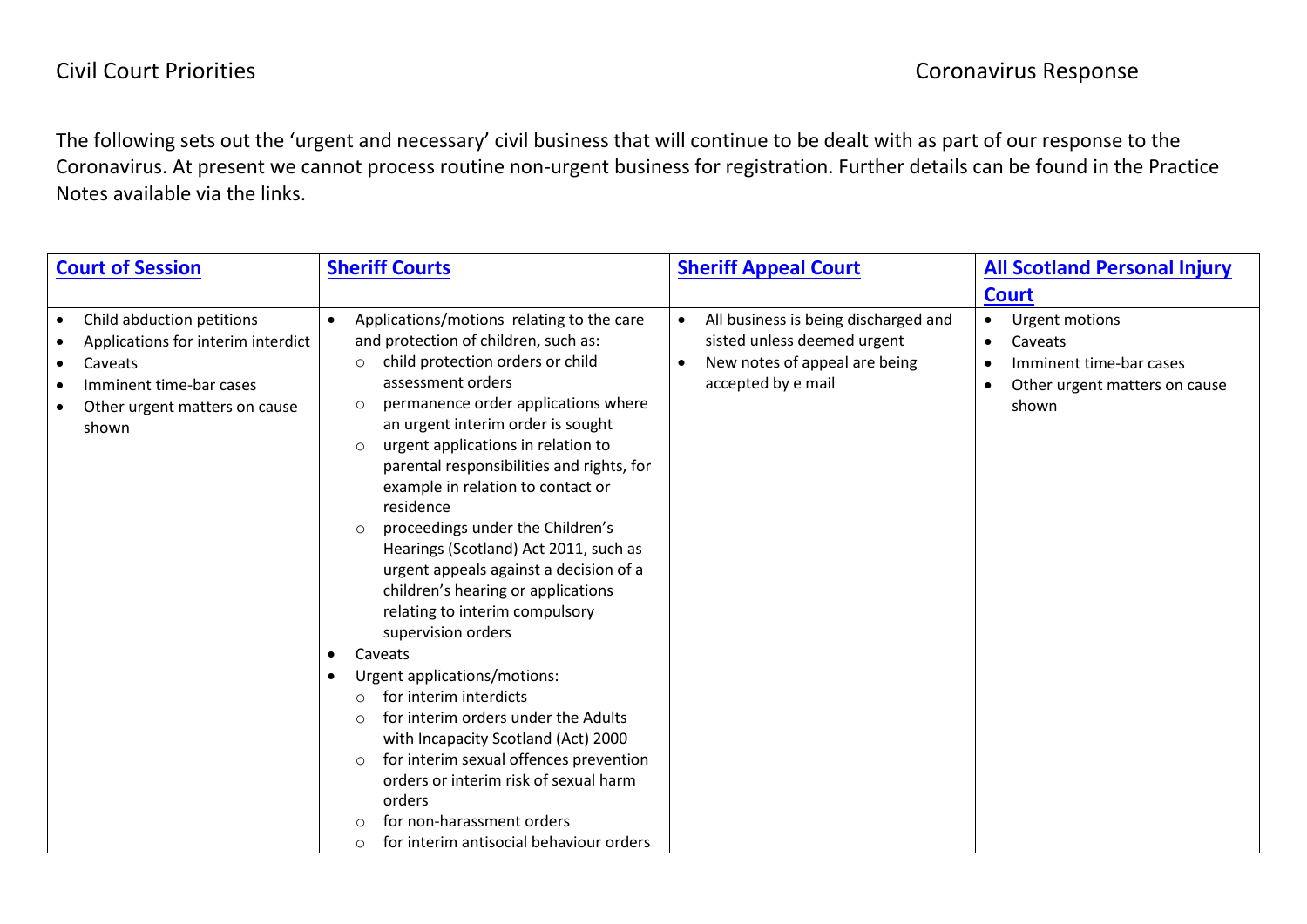The following sets out the 'urgent and necessary' civil business that will continue to be dealt with as part of our response to the Coronavirus. At present we cannot process routine non-urgent business for registration. Further details can be found in the Practice Notes available via the links.

| <b>Court of Session</b>                                                                                                                                      | <b>Sheriff Courts</b>                                                                                                                                                                                                                                                                                                                                                                                                                                                                                                                                                                                                                                                                                                                                                                                                                                                                                                                                                                                                                              | <b>Sheriff Appeal Court</b>                                                                                                                          | <b>All Scotland Personal Injury</b>                                                            |
|--------------------------------------------------------------------------------------------------------------------------------------------------------------|----------------------------------------------------------------------------------------------------------------------------------------------------------------------------------------------------------------------------------------------------------------------------------------------------------------------------------------------------------------------------------------------------------------------------------------------------------------------------------------------------------------------------------------------------------------------------------------------------------------------------------------------------------------------------------------------------------------------------------------------------------------------------------------------------------------------------------------------------------------------------------------------------------------------------------------------------------------------------------------------------------------------------------------------------|------------------------------------------------------------------------------------------------------------------------------------------------------|------------------------------------------------------------------------------------------------|
|                                                                                                                                                              |                                                                                                                                                                                                                                                                                                                                                                                                                                                                                                                                                                                                                                                                                                                                                                                                                                                                                                                                                                                                                                                    |                                                                                                                                                      | <b>Court</b>                                                                                   |
| Child abduction petitions<br>Applications for interim interdict<br>Caveats<br>$\bullet$<br>Imminent time-bar cases<br>Other urgent matters on cause<br>shown | Applications/motions relating to the care<br>$\bullet$<br>and protection of children, such as:<br>child protection orders or child<br>$\circ$<br>assessment orders<br>permanence order applications where<br>$\circ$<br>an urgent interim order is sought<br>urgent applications in relation to<br>$\circ$<br>parental responsibilities and rights, for<br>example in relation to contact or<br>residence<br>proceedings under the Children's<br>$\circ$<br>Hearings (Scotland) Act 2011, such as<br>urgent appeals against a decision of a<br>children's hearing or applications<br>relating to interim compulsory<br>supervision orders<br>Caveats<br>$\bullet$<br>Urgent applications/motions:<br>$\bullet$<br>for interim interdicts<br>$\circ$<br>for interim orders under the Adults<br>$\circ$<br>with Incapacity Scotland (Act) 2000<br>for interim sexual offences prevention<br>$\circ$<br>orders or interim risk of sexual harm<br>orders<br>for non-harassment orders<br>$\circ$<br>for interim antisocial behaviour orders<br>$\circ$ | All business is being discharged and<br>$\bullet$<br>sisted unless deemed urgent<br>New notes of appeal are being<br>$\bullet$<br>accepted by e mail | Urgent motions<br>Caveats<br>Imminent time-bar cases<br>Other urgent matters on cause<br>shown |